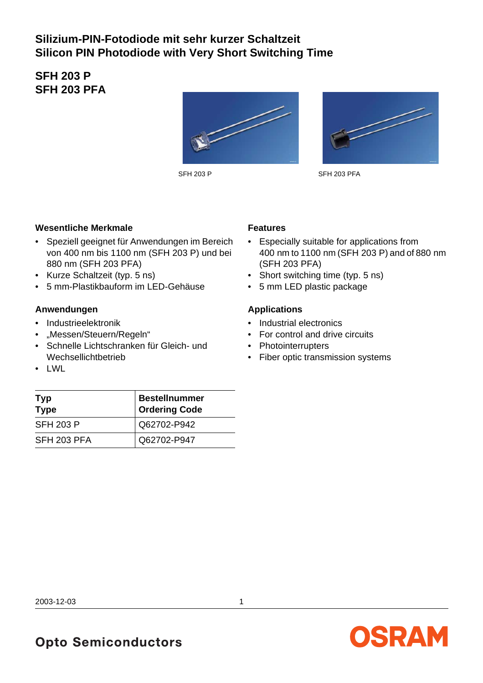## **Silizium-PIN-Fotodiode mit sehr kurzer Schaltzeit Silicon PIN Photodiode with Very Short Switching Time**

# **SFH 203 P SFH 203 PFA**





SFH 203 P SFH 203 PFA

### **Wesentliche Merkmale**

- Speziell geeignet für Anwendungen im Bereich von 400 nm bis 1100 nm (SFH 203 P) und bei 880 nm (SFH 203 PFA)
- Kurze Schaltzeit (typ. 5 ns)
- 5 mm-Plastikbauform im LED-Gehäuse

#### **Anwendungen**

- Industrieelektronik
- "Messen/Steuern/Regeln"
- Schnelle Lichtschranken für Gleich- und Wechsellichtbetrieb
- LWL

### **Features**

- Especially suitable for applications from 400 nm to 1100 nm (SFH 203 P) and of 880 nm (SFH 203 PFA)
- Short switching time (typ. 5 ns)
- 5 mm LED plastic package

#### **Applications**

- Industrial electronics
- For control and drive circuits
- Photointerrupters
- Fiber optic transmission systems

| <b>Typ</b><br><b>Type</b> | <b>Bestellnummer</b><br><b>Ordering Code</b> |
|---------------------------|----------------------------------------------|
| <b>SFH 203 P</b>          | Q62702-P942                                  |
| SFH 203 PFA               | Q62702-P947                                  |

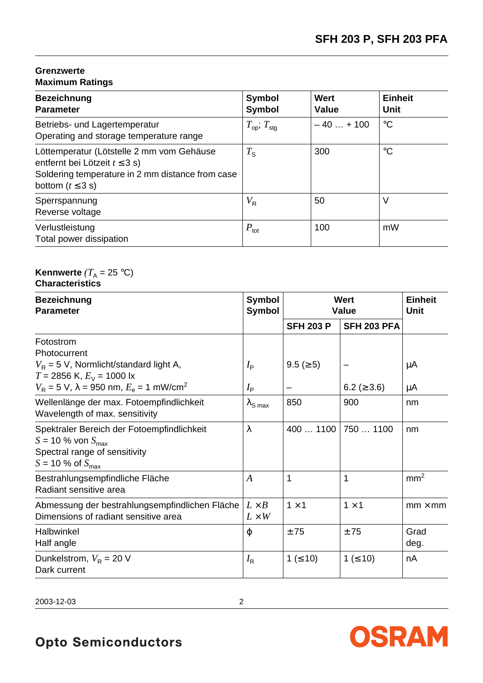## **Grenzwerte Maximum Ratings**

| <b>Bezeichnung</b><br><b>Parameter</b>                                                                                                                        | <b>Symbol</b><br><b>Symbol</b>     | Wert<br>Value | <b>Einheit</b><br>Unit |
|---------------------------------------------------------------------------------------------------------------------------------------------------------------|------------------------------------|---------------|------------------------|
| Betriebs- und Lagertemperatur<br>Operating and storage temperature range                                                                                      | $T_{\text{op}}$ ; $T_{\text{stg}}$ | $-40+100$     | $\rm ^{\circ}C$        |
| Löttemperatur (Lötstelle 2 mm vom Gehäuse<br>entfernt bei Lötzeit $t \leq 3$ s)<br>Soldering temperature in 2 mm distance from case<br>bottom ( $t \leq 3$ s) | $T_{\rm S}$                        | 300           | $\rm ^{\circ}C$        |
| Sperrspannung<br>Reverse voltage                                                                                                                              | $V_{\sf R}$                        | 50            | V                      |
| Verlustleistung<br>Total power dissipation                                                                                                                    | $P_{\text{tot}}$                   | 100           | mW                     |

#### **Kennwerte**  $(T_A = 25 \text{ }^{\circ}\text{C})$ **Characteristics**

| <b>Bezeichnung</b><br><b>Parameter</b>                                                                                                           | <b>Symbol</b><br><b>Symbol</b> | <b>Wert</b><br><b>Value</b> |                    | <b>Einheit</b><br>Unit |
|--------------------------------------------------------------------------------------------------------------------------------------------------|--------------------------------|-----------------------------|--------------------|------------------------|
|                                                                                                                                                  |                                | <b>SFH 203 P</b>            | <b>SFH 203 PFA</b> |                        |
| Fotostrom<br>Photocurrent                                                                                                                        |                                |                             |                    |                        |
| $V_R$ = 5 V, Normlicht/standard light A,<br>$T = 2856$ K, $E_V = 1000$ lx                                                                        | $I_{\mathsf{P}}$               | $9.5 \; (\geq 5)$           |                    | μA                     |
| $V_R$ = 5 V, $\lambda$ = 950 nm, $E_e$ = 1 mW/cm <sup>2</sup>                                                                                    | $I_{\mathsf{P}}$               |                             | 6.2 ( $\geq$ 3.6)  | μA                     |
| Wellenlänge der max. Fotoempfindlichkeit<br>Wavelength of max. sensitivity                                                                       | $\lambda$ <sub>S max</sub>     | 850                         | 900                | nm                     |
| Spektraler Bereich der Fotoempfindlichkeit<br>$S = 10$ % von $S_{\text{max}}$<br>Spectral range of sensitivity<br>$S = 10\%$ of $S_{\text{max}}$ | λ                              | 400  1100                   | 750  1100          | nm                     |
| Bestrahlungsempfindliche Fläche<br>Radiant sensitive area                                                                                        | $\boldsymbol{A}$               | $\mathbf{1}$                | 1                  | mm <sup>2</sup>        |
| Abmessung der bestrahlungsempfindlichen Fläche<br>Dimensions of radiant sensitive area                                                           | $L \times B$<br>$L \times W$   | $1 \times 1$                | $1 \times 1$       | $mm \times mm$         |
| Halbwinkel<br>Half angle                                                                                                                         | φ                              | ±75                         | ±75                | Grad<br>deg.           |
| Dunkelstrom, $V_R$ = 20 V<br>Dark current                                                                                                        | $I_{\mathsf{R}}$               | 1 ( $\leq 10$ )             | 1 ( $\leq 10$ )    | nA                     |

2003-12-03 2

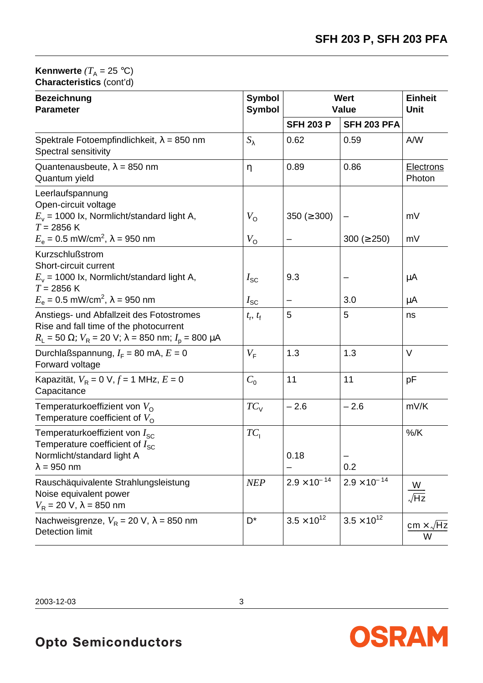#### **Kennwerte**  $(T_A = 25 \text{ }^{\circ}\text{C})$ **Characteristics** (cont'd)

| <b>Symbol</b><br><b>Bezeichnung</b><br><b>Parameter</b><br><b>Symbol</b>                                                                                                |                              | Wert<br>Value        |                      | <b>Einheit</b><br><b>Unit</b> |
|-------------------------------------------------------------------------------------------------------------------------------------------------------------------------|------------------------------|----------------------|----------------------|-------------------------------|
|                                                                                                                                                                         |                              | <b>SFH 203 P</b>     | <b>SFH 203 PFA</b>   |                               |
| Spektrale Fotoempfindlichkeit, $\lambda = 850$ nm<br>Spectral sensitivity                                                                                               | $S_{\lambda}$                | 0.62                 | 0.59                 | A/W                           |
| Quantenausbeute, $\lambda = 850$ nm<br>Quantum yield                                                                                                                    | $\eta$                       | 0.89                 | 0.86                 | <b>Electrons</b><br>Photon    |
| Leerlaufspannung<br>Open-circuit voltage<br>$E_v$ = 1000 lx, Normlicht/standard light A,<br>$T = 2856$ K<br>$E_e$ = 0.5 mW/cm <sup>2</sup> , $\lambda$ = 950 nm         | $V_{\rm O}$<br>$V_{\rm O}$   | $350 \; (\geq 300)$  | 300 ( $\geq$ 250)    | mV<br>mV                      |
| Kurzschlußstrom<br>Short-circuit current<br>$E_v$ = 1000 lx, Normlicht/standard light A,<br>$T = 2856$ K<br>$E_e$ = 0.5 mW/cm <sup>2</sup> , $\lambda$ = 950 nm         | $I_{\rm SC}$<br>$I_{\rm SC}$ | 9.3                  | 3.0                  | μA<br>μA                      |
| Anstiegs- und Abfallzeit des Fotostromes<br>Rise and fall time of the photocurrent<br>$R_{L}$ = 50 $\Omega$ ; $V_{R}$ = 20 V; $\lambda$ = 850 nm; $I_{p}$ = 800 $\mu$ A | $t_{\rm r}$ , $t_{\rm f}$    | 5                    | 5                    | ns                            |
| Durchlaßspannung, $I_F$ = 80 mA, $E$ = 0<br>Forward voltage                                                                                                             | $V_{\mathsf{F}}$             | 1.3                  | 1.3                  | V                             |
| Kapazität, $V_R = 0$ V, $f = 1$ MHz, $E = 0$<br>Capacitance                                                                                                             | $C_0$                        | 11                   | 11                   | pF                            |
| Temperaturkoeffizient von $V_{\Omega}$<br>Temperature coefficient of $V_{\Omega}$                                                                                       | $TC_{V}$                     | $-2.6$               | $-2.6$               | mV/K                          |
| Temperaturkoeffizient von $I_{\rm SC}$<br>Temperature coefficient of $I_{\rm sc}$<br>Normlicht/standard light A<br>$\lambda = 950$ nm                                   | $TC_1$                       | 0.18                 | 0.2                  | $%$ /K                        |
| Rauschäquivalente Strahlungsleistung<br>Noise equivalent power<br>$V_R$ = 20 V, $\lambda$ = 850 nm                                                                      | <b>NEP</b>                   | $2.9\times10^{-14}$  | $2.9\times10^{-14}$  | W<br>/Hz                      |
| Nachweisgrenze, $V_R = 20$ V, $\lambda = 850$ nm<br><b>Detection limit</b>                                                                                              | D*                           | $3.5 \times 10^{12}$ | $3.5 \times 10^{12}$ | $cm \times$<br>Нz<br>W        |

2003-12-03 3

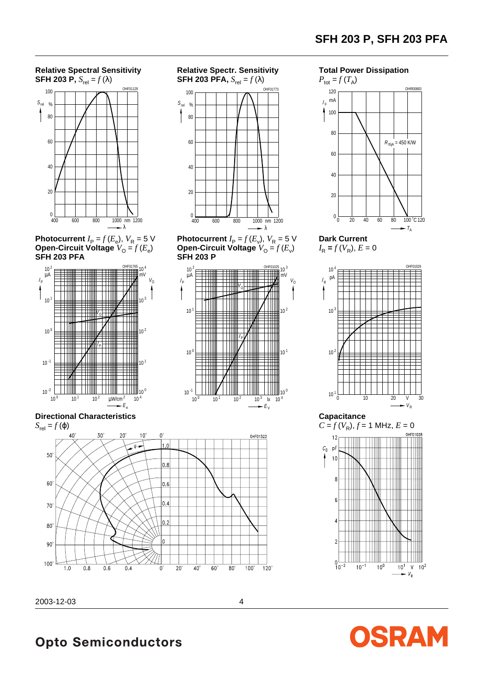**Total Power Dissipation**

 $P_{\text{tot}} = f(T_A)$ 





**Photocurrent**  $I_P = f(E_e)$ ,  $V_R = 5$  V **Open-Circuit Voltage**  $V_{\text{O}} = f(E_{\text{e}})$ **SFH 203 PFA**







**Relative Spectr. Sensitivity SFH 203 PFA,**  $S_{rel} = f(\lambda)$ OHF01773  $S_{\text{re}}$ 100



**Photocurrent**  $I_P = f(E_v)$ ,  $V_R = 5$  V **Open-Circuit Voltage**  $V_{\text{O}} = f(E_{\text{V}})$ **SFH 203 P**

λ





**Dark Current**  $I_{\rm R} = f(V_{\rm R})$ ,  $E = 0$ 



**Capacitance**  $C = f(V_R)$ ,  $f = 1$  MHz,  $E = 0$ 



SRAM



# **Opto Semiconductors**